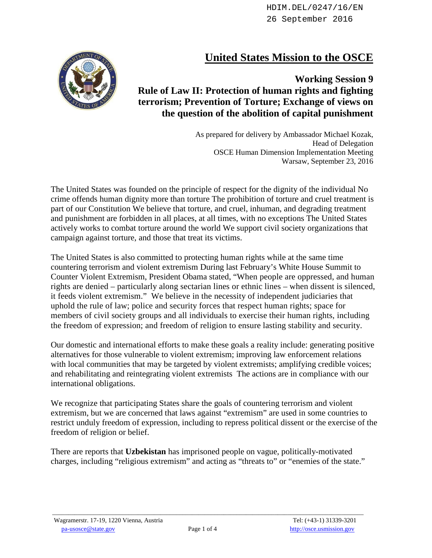## **United States Mission to the OSCE**



## **Working Session 9 Rule of Law II: Protection of human rights and fighting terrorism; Prevention of Torture; Exchange of views on the question of the abolition of capital punishment**

As prepared for delivery by Ambassador Michael Kozak, Head of Delegation OSCE Human Dimension Implementation Meeting Warsaw, September 23, 2016

The United States was founded on the principle of respect for the dignity of the individual No crime offends human dignity more than torture The prohibition of torture and cruel treatment is part of our Constitution We believe that torture, and cruel, inhuman, and degrading treatment and punishment are forbidden in all places, at all times, with no exceptions The United States actively works to combat torture around the world We support civil society organizations that campaign against torture, and those that treat its victims.

The United States is also committed to protecting human rights while at the same time countering terrorism and violent extremism During last February's White House Summit to Counter Violent Extremism, President Obama stated, "When people are oppressed, and human rights are denied – particularly along sectarian lines or ethnic lines – when dissent is silenced, it feeds violent extremism." We believe in the necessity of independent judiciaries that uphold the rule of law; police and security forces that respect human rights; space for members of civil society groups and all individuals to exercise their human rights, including the freedom of expression; and freedom of religion to ensure lasting stability and security.

Our domestic and international efforts to make these goals a reality include: generating positive alternatives for those vulnerable to violent extremism; improving law enforcement relations with local communities that may be targeted by violent extremists; amplifying credible voices; and rehabilitating and reintegrating violent extremists The actions are in compliance with our international obligations.

We recognize that participating States share the goals of countering terrorism and violent extremism, but we are concerned that laws against "extremism" are used in some countries to restrict unduly freedom of expression, including to repress political dissent or the exercise of the freedom of religion or belief.

There are reports that **Uzbekistan** has imprisoned people on vague, politically-motivated charges, including "religious extremism" and acting as "threats to" or "enemies of the state."

 $\_$  ,  $\_$  ,  $\_$  ,  $\_$  ,  $\_$  ,  $\_$  ,  $\_$  ,  $\_$  ,  $\_$  ,  $\_$  ,  $\_$  ,  $\_$  ,  $\_$  ,  $\_$  ,  $\_$  ,  $\_$  ,  $\_$  ,  $\_$  ,  $\_$  ,  $\_$  ,  $\_$  ,  $\_$  ,  $\_$  ,  $\_$  ,  $\_$  ,  $\_$  ,  $\_$  ,  $\_$  ,  $\_$  ,  $\_$  ,  $\_$  ,  $\_$  ,  $\_$  ,  $\_$  ,  $\_$  ,  $\_$  ,  $\_$  ,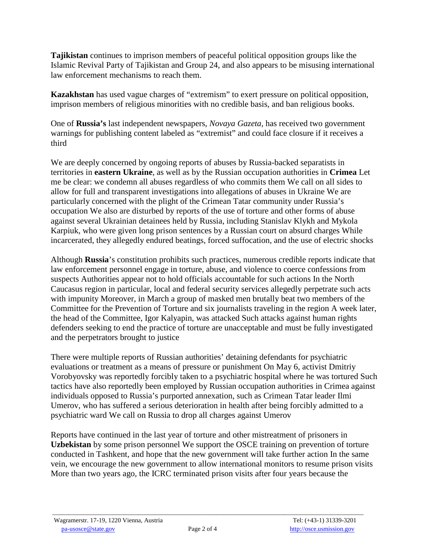**Tajikistan** continues to imprison members of peaceful political opposition groups like the Islamic Revival Party of Tajikistan and Group 24, and also appears to be misusing international law enforcement mechanisms to reach them.

**Kazakhstan** has used vague charges of "extremism" to exert pressure on political opposition, imprison members of religious minorities with no credible basis, and ban religious books.

One of **Russia's** last independent newspapers, *Novaya Gazeta*, has received two government warnings for publishing content labeled as "extremist" and could face closure if it receives a third

We are deeply concerned by ongoing reports of abuses by Russia-backed separatists in territories in **eastern Ukraine**, as well as by the Russian occupation authorities in **Crimea** Let me be clear: we condemn all abuses regardless of who commits them We call on all sides to allow for full and transparent investigations into allegations of abuses in Ukraine We are particularly concerned with the plight of the Crimean Tatar community under Russia's occupation We also are disturbed by reports of the use of torture and other forms of abuse against several Ukrainian detainees held by Russia, including Stanislav Klykh and Mykola Karpiuk, who were given long prison sentences by a Russian court on absurd charges While incarcerated, they allegedly endured beatings, forced suffocation, and the use of electric shocks

Although **Russia**'s constitution prohibits such practices, numerous credible reports indicate that law enforcement personnel engage in torture, abuse, and violence to coerce confessions from suspects Authorities appear not to hold officials accountable for such actions In the North Caucasus region in particular, local and federal security services allegedly perpetrate such acts with impunity Moreover, in March a group of masked men brutally beat two members of the Committee for the Prevention of Torture and six journalists traveling in the region A week later, the head of the Committee, Igor Kalyapin, was attacked Such attacks against human rights defenders seeking to end the practice of torture are unacceptable and must be fully investigated and the perpetrators brought to justice

There were multiple reports of Russian authorities' detaining defendants for psychiatric evaluations or treatment as a means of pressure or punishment On May 6, activist Dmitriy Vorobyovsky was reportedly forcibly taken to a psychiatric hospital where he was tortured Such tactics have also reportedly been employed by Russian occupation authorities in Crimea against individuals opposed to Russia's purported annexation, such as Crimean Tatar leader Ilmi Umerov, who has suffered a serious deterioration in health after being forcibly admitted to a psychiatric ward We call on Russia to drop all charges against Umerov

Reports have continued in the last year of torture and other mistreatment of prisoners in **Uzbekistan** by some prison personnel We support the OSCE training on prevention of torture conducted in Tashkent, and hope that the new government will take further action In the same vein, we encourage the new government to allow international monitors to resume prison visits More than two years ago, the ICRC terminated prison visits after four years because the

 $\_$  ,  $\_$  ,  $\_$  ,  $\_$  ,  $\_$  ,  $\_$  ,  $\_$  ,  $\_$  ,  $\_$  ,  $\_$  ,  $\_$  ,  $\_$  ,  $\_$  ,  $\_$  ,  $\_$  ,  $\_$  ,  $\_$  ,  $\_$  ,  $\_$  ,  $\_$  ,  $\_$  ,  $\_$  ,  $\_$  ,  $\_$  ,  $\_$  ,  $\_$  ,  $\_$  ,  $\_$  ,  $\_$  ,  $\_$  ,  $\_$  ,  $\_$  ,  $\_$  ,  $\_$  ,  $\_$  ,  $\_$  ,  $\_$  ,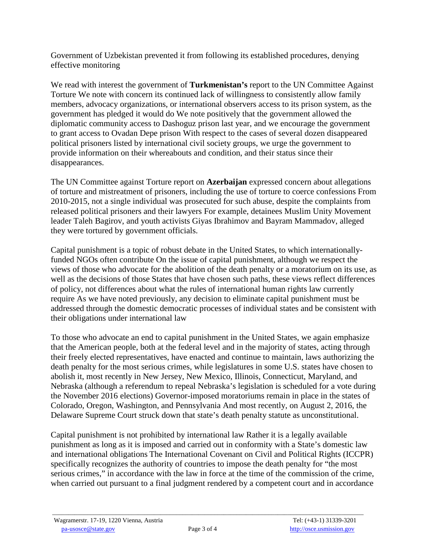Government of Uzbekistan prevented it from following its established procedures, denying effective monitoring

We read with interest the government of **Turkmenistan's** report to the UN Committee Against Torture We note with concern its continued lack of willingness to consistently allow family members, advocacy organizations, or international observers access to its prison system, as the government has pledged it would do We note positively that the government allowed the diplomatic community access to Dashoguz prison last year, and we encourage the government to grant access to Ovadan Depe prison With respect to the cases of several dozen disappeared political prisoners listed by international civil society groups, we urge the government to provide information on their whereabouts and condition, and their status since their disappearances.

The UN Committee against Torture report on **Azerbaijan** expressed concern about allegations of torture and mistreatment of prisoners, including the use of torture to coerce confessions From 2010-2015, not a single individual was prosecuted for such abuse, despite the complaints from released political prisoners and their lawyers For example, detainees Muslim Unity Movement leader Taleh Bagirov, and youth activists Giyas Ibrahimov and Bayram Mammadov, alleged they were tortured by government officials.

Capital punishment is a topic of robust debate in the United States, to which internationallyfunded NGOs often contribute On the issue of capital punishment, although we respect the views of those who advocate for the abolition of the death penalty or a moratorium on its use, as well as the decisions of those States that have chosen such paths, these views reflect differences of policy, not differences about what the rules of international human rights law currently require As we have noted previously, any decision to eliminate capital punishment must be addressed through the domestic democratic processes of individual states and be consistent with their obligations under international law

To those who advocate an end to capital punishment in the United States, we again emphasize that the American people, both at the federal level and in the majority of states, acting through their freely elected representatives, have enacted and continue to maintain, laws authorizing the death penalty for the most serious crimes, while legislatures in some U.S. states have chosen to abolish it, most recently in New Jersey, New Mexico, Illinois, Connecticut, Maryland, and Nebraska (although a referendum to repeal Nebraska's legislation is scheduled for a vote during the November 2016 elections) Governor-imposed moratoriums remain in place in the states of Colorado, Oregon, Washington, and Pennsylvania And most recently, on August 2, 2016, the Delaware Supreme Court struck down that state's death penalty statute as unconstitutional.

Capital punishment is not prohibited by international law Rather it is a legally available punishment as long as it is imposed and carried out in conformity with a State's domestic law and international obligations The International Covenant on Civil and Political Rights (ICCPR) specifically recognizes the authority of countries to impose the death penalty for "the most serious crimes," in accordance with the law in force at the time of the commission of the crime, when carried out pursuant to a final judgment rendered by a competent court and in accordance